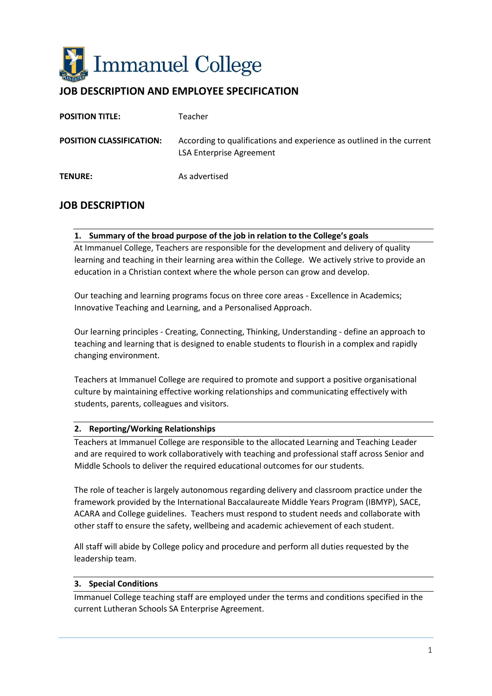

# **JOB DESCRIPTION AND EMPLOYEE SPECIFICATION**

| <b>POSITION TITLE:</b>          | Teacher                                                                                                  |
|---------------------------------|----------------------------------------------------------------------------------------------------------|
| <b>POSITION CLASSIFICATION:</b> | According to qualifications and experience as outlined in the current<br><b>LSA Enterprise Agreement</b> |
| <b>TENURE:</b>                  | As advertised                                                                                            |

## **JOB DESCRIPTION**

#### **1. Summary of the broad purpose of the job in relation to the College's goals**

At Immanuel College, Teachers are responsible for the development and delivery of quality learning and teaching in their learning area within the College. We actively strive to provide an education in a Christian context where the whole person can grow and develop.

Our teaching and learning programs focus on three core areas - Excellence in Academics; Innovative Teaching and Learning, and a Personalised Approach.

Our learning principles - Creating, Connecting, Thinking, Understanding - define an approach to teaching and learning that is designed to enable students to flourish in a complex and rapidly changing environment.

Teachers at Immanuel College are required to promote and support a positive organisational culture by maintaining effective working relationships and communicating effectively with students, parents, colleagues and visitors.

#### **2. Reporting/Working Relationships**

Teachers at Immanuel College are responsible to the allocated Learning and Teaching Leader and are required to work collaboratively with teaching and professional staff across Senior and Middle Schools to deliver the required educational outcomes for our students.

The role of teacher is largely autonomous regarding delivery and classroom practice under the framework provided by the International Baccalaureate Middle Years Program (IBMYP), SACE, ACARA and College guidelines. Teachers must respond to student needs and collaborate with other staff to ensure the safety, wellbeing and academic achievement of each student.

All staff will abide by College policy and procedure and perform all duties requested by the leadership team.

#### **3. Special Conditions**

Immanuel College teaching staff are employed under the terms and conditions specified in the current Lutheran Schools SA Enterprise Agreement.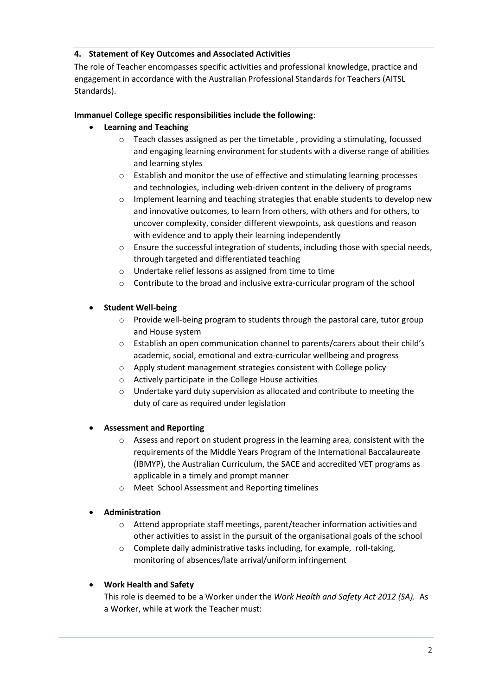#### **4. Statement of Key Outcomes and Associated Activities**

The role of Teacher encompasses specific activities and professional knowledge, practice and engagement in accordance with the Australian Professional Standards for Teachers (AITSL Standards).

### **Immanuel College specific responsibilities include the following**:

### **Learning and Teaching**

- o Teach classes assigned as per the timetable , providing a stimulating, focussed and engaging learning environment for students with a diverse range of abilities and learning styles
- o Establish and monitor the use of effective and stimulating learning processes and technologies, including web-driven content in the delivery of programs
- o Implement learning and teaching strategies that enable students to develop new and innovative outcomes, to learn from others, with others and for others, to uncover complexity, consider different viewpoints, ask questions and reason with evidence and to apply their learning independently
- o Ensure the successful integration of students, including those with special needs, through targeted and differentiated teaching
- o Undertake relief lessons as assigned from time to time
- o Contribute to the broad and inclusive extra-curricular program of the school

#### **Student Well-being**

- $\circ$  Provide well-being program to students through the pastoral care, tutor group and House system
- o Establish an open communication channel to parents/carers about their child's academic, social, emotional and extra-curricular wellbeing and progress
- o Apply student management strategies consistent with College policy
- o Actively participate in the College House activities
- o Undertake yard duty supervision as allocated and contribute to meeting the duty of care as required under legislation

#### **Assessment and Reporting**

- $\circ$  Assess and report on student progress in the learning area, consistent with the requirements of the Middle Years Program of the International Baccalaureate (IBMYP), the Australian Curriculum, the SACE and accredited VET programs as applicable in a timely and prompt manner
- o Meet School Assessment and Reporting timelines

### **Administration**

- o Attend appropriate staff meetings, parent/teacher information activities and other activities to assist in the pursuit of the organisational goals of the school
- o Complete daily administrative tasks including, for example, roll-taking, monitoring of absences/late arrival/uniform infringement

### **Work Health and Safety**

This role is deemed to be a Worker under the *Work Health and Safety Act 2012 (SA).* As a Worker, while at work the Teacher must: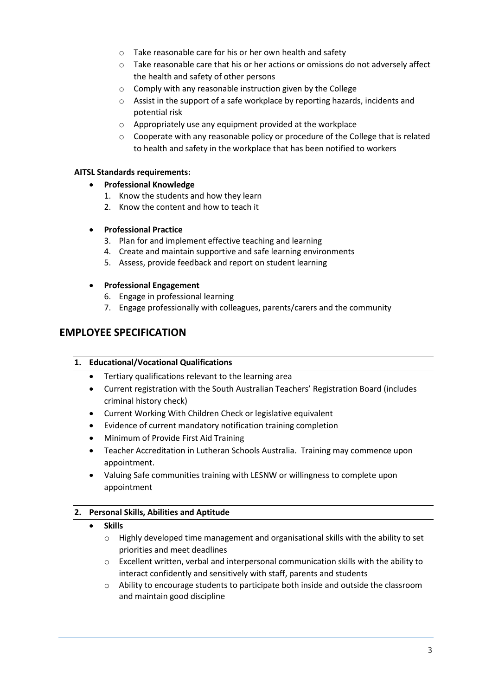- o Take reasonable care for his or her own health and safety
- $\circ$  Take reasonable care that his or her actions or omissions do not adversely affect the health and safety of other persons
- o Comply with any reasonable instruction given by the College
- o Assist in the support of a safe workplace by reporting hazards, incidents and potential risk
- o Appropriately use any equipment provided at the workplace
- $\circ$  Cooperate with any reasonable policy or procedure of the College that is related to health and safety in the workplace that has been notified to workers

#### **AITSL Standards requirements:**

- **Professional Knowledge**
	- 1. Know the students and how they learn
	- 2. Know the content and how to teach it
- **Professional Practice**
	- 3. Plan for and implement effective teaching and learning
	- 4. Create and maintain supportive and safe learning environments
	- 5. Assess, provide feedback and report on student learning

#### **Professional Engagement**

- 6. Engage in professional learning
- 7. Engage professionally with colleagues, parents/carers and the community

# **EMPLOYEE SPECIFICATION**

#### **1. Educational/Vocational Qualifications**

- Tertiary qualifications relevant to the learning area
- Current registration with the South Australian Teachers' Registration Board (includes criminal history check)
- Current Working With Children Check or legislative equivalent
- Evidence of current mandatory notification training completion
- Minimum of Provide First Aid Training
- Teacher Accreditation in Lutheran Schools Australia. Training may commence upon appointment.
- Valuing Safe communities training with LESNW or willingness to complete upon appointment

#### **2. Personal Skills, Abilities and Aptitude**

- **Skills**
	- $\circ$  Highly developed time management and organisational skills with the ability to set priorities and meet deadlines
	- o Excellent written, verbal and interpersonal communication skills with the ability to interact confidently and sensitively with staff, parents and students
	- $\circ$  Ability to encourage students to participate both inside and outside the classroom and maintain good discipline